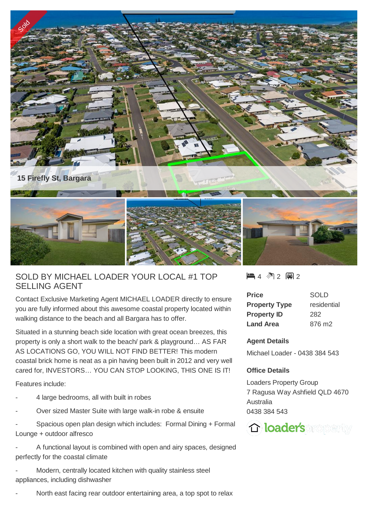

## SOLD BY MICHAEL LOADER YOUR LOCAL #1 TOP SELLING AGENT

Contact Exclusive Marketing Agent MICHAEL LOADER directly to ensure you are fully informed about this awesome coastal property located within walking distance to the beach and all Bargara has to offer.

Situated in a stunning beach side location with great ocean breezes, this property is only a short walk to the beach/ park & playground… AS FAR AS LOCATIONS GO, YOU WILL NOT FIND BETTER! This modern coastal brick home is neat as a pin having been built in 2012 and very well cared for, INVESTORS… YOU CAN STOP LOOKING, THIS ONE IS IT!

Features include:

- 4 large bedrooms, all with built in robes
- Over sized Master Suite with large walk-in robe & ensuite
- Spacious open plan design which includes: Formal Dining + Formal Lounge + outdoor alfresco
- A functional layout is combined with open and airy spaces, designed perfectly for the coastal climate

Modern, centrally located kitchen with quality stainless steel appliances, including dishwasher

North east facing rear outdoor entertaining area, a top spot to relax

 $\blacksquare$  4 2 2 2 2

| Price                | <b>SOLD</b> |
|----------------------|-------------|
| <b>Property Type</b> | residential |
| <b>Property ID</b>   | 282         |
| <b>Land Area</b>     | 876 m2      |

## **Agent Details**

Michael Loader - 0438 384 543

## **Office Details**

Loaders Property Group 7 Ragusa Way Ashfield QLD 4670 Australia 0438 384 543

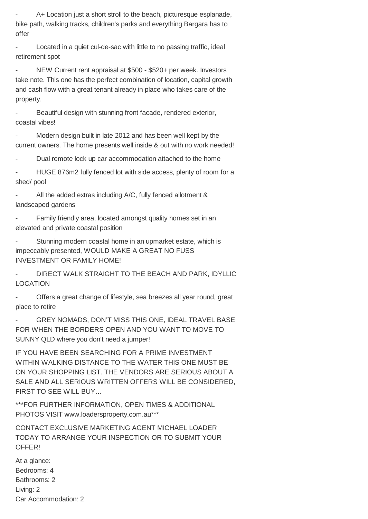A+ Location just a short stroll to the beach, picturesque esplanade, bike path, walking tracks, children's parks and everything Bargara has to offer

Located in a quiet cul-de-sac with little to no passing traffic, ideal retirement spot

- NEW Current rent appraisal at \$500 - \$520+ per week. Investors take note. This one has the perfect combination of location, capital growth and cash flow with a great tenant already in place who takes care of the property.

Beautiful design with stunning front facade, rendered exterior, coastal vibes!

- Modern design built in late 2012 and has been well kept by the current owners. The home presents well inside & out with no work needed!

Dual remote lock up car accommodation attached to the home

HUGE 876m2 fully fenced lot with side access, plenty of room for a shed/ pool

All the added extras including A/C, fully fenced allotment & landscaped gardens

- Family friendly area, located amongst quality homes set in an elevated and private coastal position

Stunning modern coastal home in an upmarket estate, which is impeccably presented, WOULD MAKE A GREAT NO FUSS INVESTMENT OR FAMILY HOME!

DIRECT WALK STRAIGHT TO THE BEACH AND PARK, IDYLLIC LOCATION

Offers a great change of lifestyle, sea breezes all year round, great place to retire

GREY NOMADS, DON'T MISS THIS ONE, IDEAL TRAVEL BASE FOR WHEN THE BORDERS OPEN AND YOU WANT TO MOVE TO SUNNY QLD where you don't need a jumper!

IF YOU HAVE BEEN SEARCHING FOR A PRIME INVESTMENT WITHIN WALKING DISTANCE TO THE WATER THIS ONE MUST BE ON YOUR SHOPPING LIST. THE VENDORS ARE SERIOUS ABOUT A SALE AND ALL SERIOUS WRITTEN OFFERS WILL BE CONSIDERED, FIRST TO SEE WILL BUY…

\*\*\*FOR FURTHER INFORMATION, OPEN TIMES & ADDITIONAL PHOTOS VISIT www.loadersproperty.com.au\*\*\*

CONTACT EXCLUSIVE MARKETING AGENT MICHAEL LOADER TODAY TO ARRANGE YOUR INSPECTION OR TO SUBMIT YOUR OFFER!

At a glance: Bedrooms: 4 Bathrooms: 2 Living: 2 Car Accommodation: 2